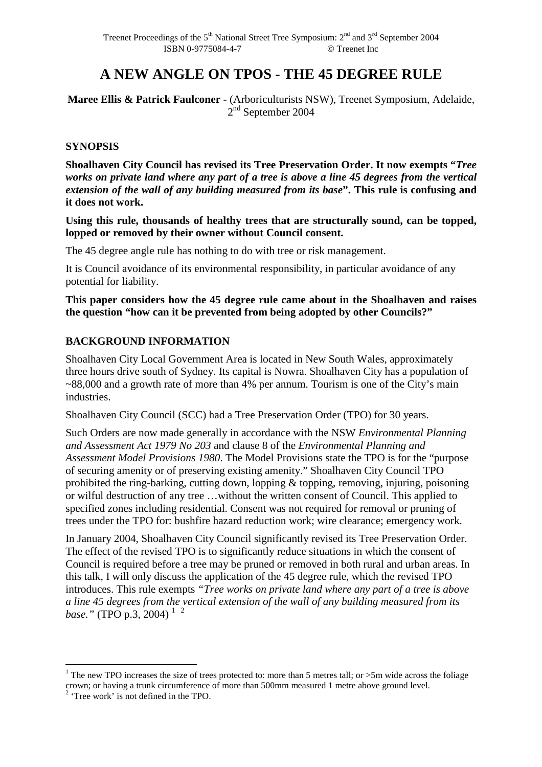# **A NEW ANGLE ON TPOS - THE 45 DEGREE RULE**

**Maree Ellis & Patrick Faulconer** - (Arboriculturists NSW), Treenet Symposium, Adelaide, 2<sup>nd</sup> September 2004

# **SYNOPSIS**

**Shoalhaven City Council has revised its Tree Preservation Order. It now exempts "***Tree works on private land where any part of a tree is above a line 45 degrees from the vertical extension of the wall of any building measured from its base***". This rule is confusing and it does not work.** 

**Using this rule, thousands of healthy trees that are structurally sound, can be topped, lopped or removed by their owner without Council consent.** 

The 45 degree angle rule has nothing to do with tree or risk management.

It is Council avoidance of its environmental responsibility, in particular avoidance of any potential for liability.

**This paper considers how the 45 degree rule came about in the Shoalhaven and raises the question "how can it be prevented from being adopted by other Councils?"** 

# **BACKGROUND INFORMATION**

Shoalhaven City Local Government Area is located in New South Wales, approximately three hours drive south of Sydney. Its capital is Nowra. Shoalhaven City has a population of ~88,000 and a growth rate of more than 4% per annum. Tourism is one of the City's main industries.

Shoalhaven City Council (SCC) had a Tree Preservation Order (TPO) for 30 years.

Such Orders are now made generally in accordance with the NSW *Environmental Planning and Assessment Act 1979 No 203* and clause 8 of the *Environmental Planning and Assessment Model Provisions 1980*. The Model Provisions state the TPO is for the "purpose of securing amenity or of preserving existing amenity." Shoalhaven City Council TPO prohibited the ring-barking, cutting down, lopping & topping, removing, injuring, poisoning or wilful destruction of any tree …without the written consent of Council. This applied to specified zones including residential. Consent was not required for removal or pruning of trees under the TPO for: bushfire hazard reduction work; wire clearance; emergency work.

In January 2004, Shoalhaven City Council significantly revised its Tree Preservation Order. The effect of the revised TPO is to significantly reduce situations in which the consent of Council is required before a tree may be pruned or removed in both rural and urban areas. In this talk, I will only discuss the application of the 45 degree rule, which the revised TPO introduces. This rule exempts *"Tree works on private land where any part of a tree is above a line 45 degrees from the vertical extension of the wall of any building measured from its base.*" (TPO p.3, 2004)<sup>12</sup>

<sup>&</sup>lt;sup>1</sup> The new TPO increases the size of trees protected to: more than 5 metres tall; or >5m wide across the foliage crown; or having a trunk circumference of more than 500mm measured 1 metre above ground level.<br><sup>2</sup> 'Tree work' is not defined in the TPO.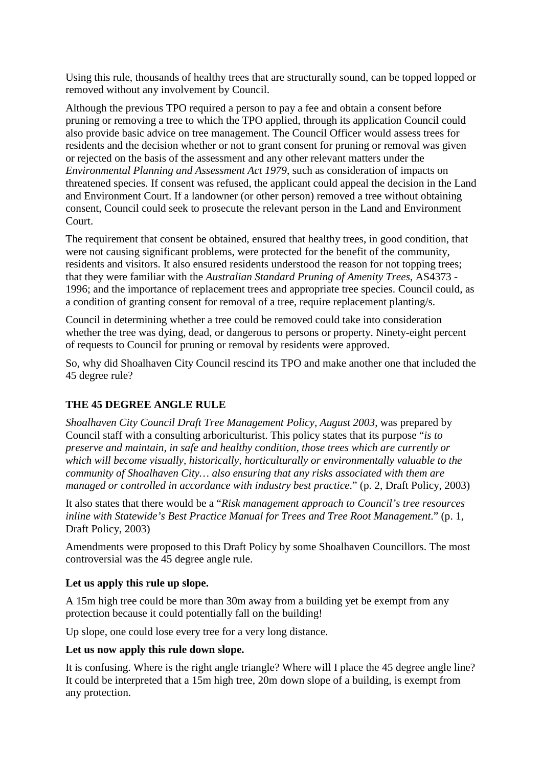Using this rule, thousands of healthy trees that are structurally sound, can be topped lopped or removed without any involvement by Council.

Although the previous TPO required a person to pay a fee and obtain a consent before pruning or removing a tree to which the TPO applied, through its application Council could also provide basic advice on tree management. The Council Officer would assess trees for residents and the decision whether or not to grant consent for pruning or removal was given or rejected on the basis of the assessment and any other relevant matters under the *Environmental Planning and Assessment Act 1979*, such as consideration of impacts on threatened species. If consent was refused, the applicant could appeal the decision in the Land and Environment Court. If a landowner (or other person) removed a tree without obtaining consent, Council could seek to prosecute the relevant person in the Land and Environment Court.

The requirement that consent be obtained, ensured that healthy trees, in good condition, that were not causing significant problems, were protected for the benefit of the community, residents and visitors. It also ensured residents understood the reason for not topping trees; that they were familiar with the *Australian Standard Pruning of Amenity Trees*, AS4373 - 1996; and the importance of replacement trees and appropriate tree species. Council could, as a condition of granting consent for removal of a tree, require replacement planting/s.

Council in determining whether a tree could be removed could take into consideration whether the tree was dying, dead, or dangerous to persons or property. Ninety-eight percent of requests to Council for pruning or removal by residents were approved.

So, why did Shoalhaven City Council rescind its TPO and make another one that included the 45 degree rule?

# **THE 45 DEGREE ANGLE RULE**

*Shoalhaven City Council Draft Tree Management Policy, August 2003*, was prepared by Council staff with a consulting arboriculturist. This policy states that its purpose "*is to preserve and maintain, in safe and healthy condition, those trees which are currently or which will become visually, historically, horticulturally or environmentally valuable to the community of Shoalhaven City… also ensuring that any risks associated with them are managed or controlled in accordance with industry best practice.*" (p. 2, Draft Policy, 2003)

It also states that there would be a "*Risk management approach to Council's tree resources inline with Statewide's Best Practice Manual for Trees and Tree Root Management*." (p. 1, Draft Policy, 2003)

Amendments were proposed to this Draft Policy by some Shoalhaven Councillors. The most controversial was the 45 degree angle rule.

# **Let us apply this rule up slope.**

A 15m high tree could be more than 30m away from a building yet be exempt from any protection because it could potentially fall on the building!

Up slope, one could lose every tree for a very long distance.

#### **Let us now apply this rule down slope.**

It is confusing. Where is the right angle triangle? Where will I place the 45 degree angle line? It could be interpreted that a 15m high tree, 20m down slope of a building, is exempt from any protection.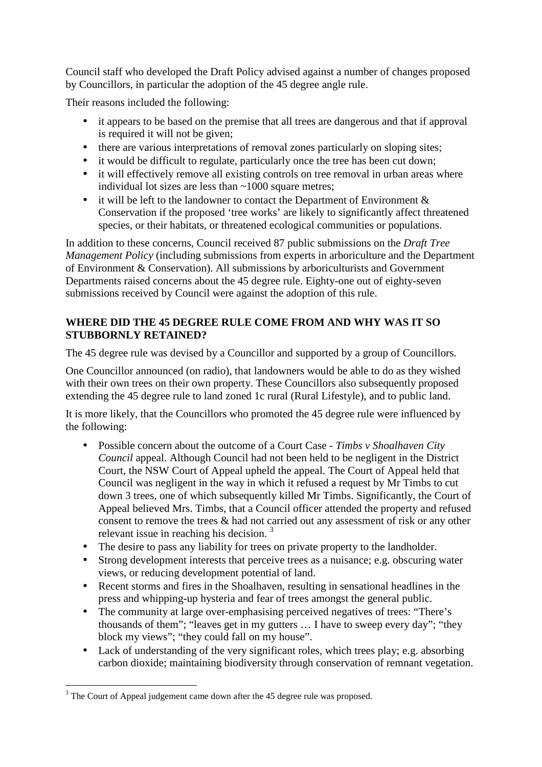Council staff who developed the Draft Policy advised against a number of changes proposed by Councillors, in particular the adoption of the 45 degree angle rule.

Their reasons included the following:

- it appears to be based on the premise that all trees are dangerous and that if approval is required it will not be given;
- there are various interpretations of removal zones particularly on sloping sites;
- it would be difficult to regulate, particularly once the tree has been cut down;
- it will effectively remove all existing controls on tree removal in urban areas where individual lot sizes are less than  $\sim$ 1000 square metres;
- it will be left to the landowner to contact the Department of Environment & Conservation if the proposed 'tree works' are likely to significantly affect threatened species, or their habitats, or threatened ecological communities or populations.

In addition to these concerns, Council received 87 public submissions on the *Draft Tree Management Policy* (including submissions from experts in arboriculture and the Department of Environment & Conservation). All submissions by arboriculturists and Government Departments raised concerns about the 45 degree rule. Eighty-one out of eighty-seven submissions received by Council were against the adoption of this rule.

# **WHERE DID THE 45 DEGREE RULE COME FROM AND WHY WAS IT SO STUBBORNLY RETAINED?**

The 45 degree rule was devised by a Councillor and supported by a group of Councillors.

One Councillor announced (on radio), that landowners would be able to do as they wished with their own trees on their own property. These Councillors also subsequently proposed extending the 45 degree rule to land zoned 1c rural (Rural Lifestyle), and to public land.

It is more likely, that the Councillors who promoted the 45 degree rule were influenced by the following:

- Possible concern about the outcome of a Court Case *Timbs v Shoalhaven City Council* appeal. Although Council had not been held to be negligent in the District Court, the NSW Court of Appeal upheld the appeal. The Court of Appeal held that Council was negligent in the way in which it refused a request by Mr Timbs to cut down 3 trees, one of which subsequently killed Mr Timbs. Significantly, the Court of Appeal believed Mrs. Timbs, that a Council officer attended the property and refused consent to remove the trees & had not carried out any assessment of risk or any other relevant issue in reaching his decision.<sup>3</sup>
- The desire to pass any liability for trees on private property to the landholder.
- Strong development interests that perceive trees as a nuisance; e.g. obscuring water views, or reducing development potential of land.
- Recent storms and fires in the Shoalhaven, resulting in sensational headlines in the press and whipping-up hysteria and fear of trees amongst the general public.
- The community at large over-emphasising perceived negatives of trees: "There's thousands of them"; "leaves get in my gutters … I have to sweep every day"; "they block my views"; "they could fall on my house".
- Lack of understanding of the very significant roles, which trees play; e.g. absorbing carbon dioxide; maintaining biodiversity through conservation of remnant vegetation.

<sup>&</sup>lt;sup>3</sup> The Court of Appeal judgement came down after the 45 degree rule was proposed.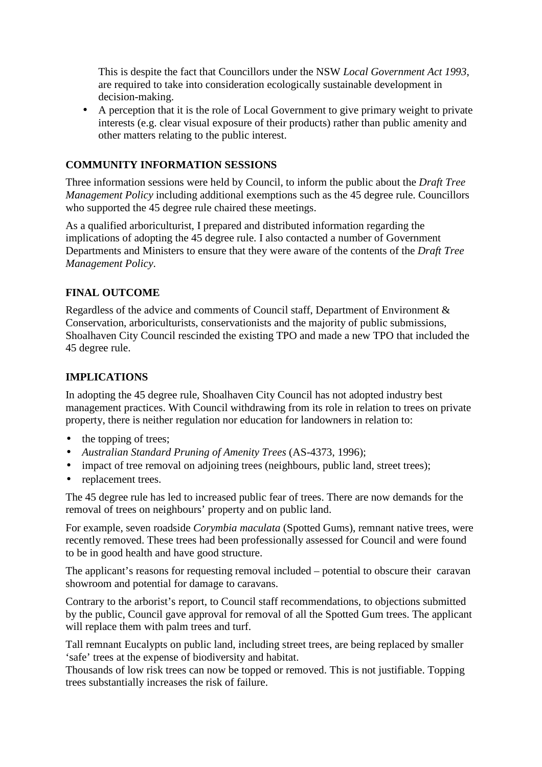This is despite the fact that Councillors under the NSW *Local Government Act 1993*, are required to take into consideration ecologically sustainable development in decision-making.

• A perception that it is the role of Local Government to give primary weight to private interests (e.g. clear visual exposure of their products) rather than public amenity and other matters relating to the public interest.

### **COMMUNITY INFORMATION SESSIONS**

Three information sessions were held by Council, to inform the public about the *Draft Tree Management Policy* including additional exemptions such as the 45 degree rule. Councillors who supported the 45 degree rule chaired these meetings.

As a qualified arboriculturist, I prepared and distributed information regarding the implications of adopting the 45 degree rule. I also contacted a number of Government Departments and Ministers to ensure that they were aware of the contents of the *Draft Tree Management Policy*.

# **FINAL OUTCOME**

Regardless of the advice and comments of Council staff, Department of Environment & Conservation, arboriculturists, conservationists and the majority of public submissions, Shoalhaven City Council rescinded the existing TPO and made a new TPO that included the 45 degree rule.

# **IMPLICATIONS**

In adopting the 45 degree rule, Shoalhaven City Council has not adopted industry best management practices. With Council withdrawing from its role in relation to trees on private property, there is neither regulation nor education for landowners in relation to:

- the topping of trees;
- *Australian Standard Pruning of Amenity Trees* (AS-4373, 1996);
- impact of tree removal on adjoining trees (neighbours, public land, street trees);
- replacement trees.

The 45 degree rule has led to increased public fear of trees. There are now demands for the removal of trees on neighbours' property and on public land.

For example, seven roadside *Corymbia maculata* (Spotted Gums), remnant native trees, were recently removed. These trees had been professionally assessed for Council and were found to be in good health and have good structure.

The applicant's reasons for requesting removal included – potential to obscure their caravan showroom and potential for damage to caravans.

Contrary to the arborist's report, to Council staff recommendations, to objections submitted by the public, Council gave approval for removal of all the Spotted Gum trees. The applicant will replace them with palm trees and turf.

Tall remnant Eucalypts on public land, including street trees, are being replaced by smaller 'safe' trees at the expense of biodiversity and habitat.

Thousands of low risk trees can now be topped or removed. This is not justifiable. Topping trees substantially increases the risk of failure.